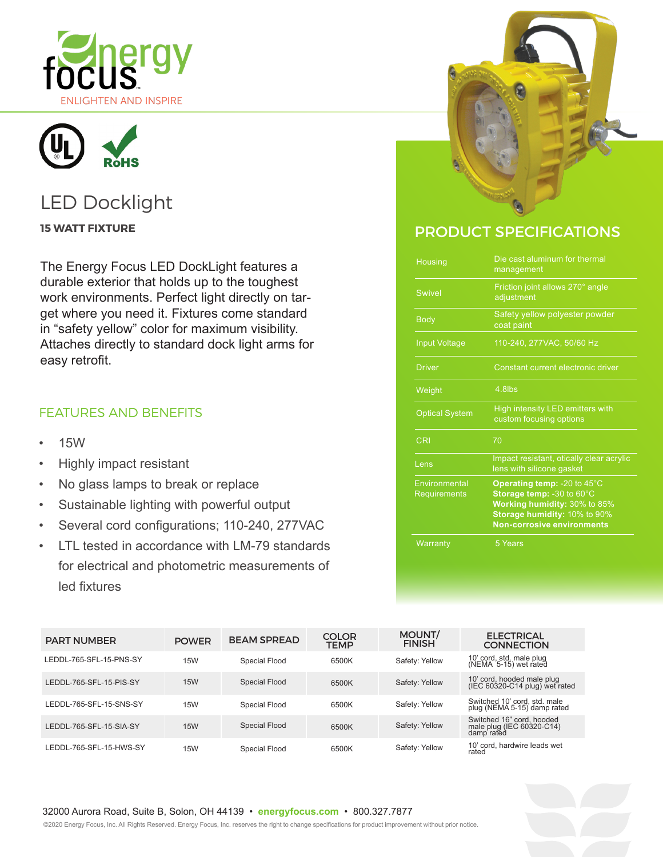



# LED Docklight

The Energy Focus LED DockLight features a durable exterior that holds up to the toughest work environments. Perfect light directly on target where you need it. Fixtures come standard in "safety yellow" color for maximum visibility. Attaches directly to standard dock light arms for easy retrofit.

### FEATURES AND BENEFITS

- 15W
- Highly impact resistant
- No glass lamps to break or replace
- Sustainable lighting with powerful output
- Several cord configurations; 110-240, 277VAC
- LTL tested in accordance with LM-79 standards for electrical and photometric measurements of led fixtures



## **15 WATT FIXTURE THE STATE OF A STATE OF A STATE OF A STATE OF PRODUCT SPECIFICATIONS**

| Housing                       | Die cast aluminum for thermal<br>management                                                                                                                   |  |  |
|-------------------------------|---------------------------------------------------------------------------------------------------------------------------------------------------------------|--|--|
| <b>Swivel</b>                 | Friction joint allows 270° angle<br>adjustment                                                                                                                |  |  |
| <b>Body</b>                   | Safety yellow polyester powder<br>coat paint                                                                                                                  |  |  |
| <b>Input Voltage</b>          | 110-240, 277VAC, 50/60 Hz                                                                                                                                     |  |  |
| <b>Driver</b>                 | Constant current electronic driver                                                                                                                            |  |  |
| Weight                        | 4.8lbs                                                                                                                                                        |  |  |
| <b>Optical System</b>         | High intensity LED emitters with<br>custom focusing options                                                                                                   |  |  |
| <b>CRI</b>                    | 70                                                                                                                                                            |  |  |
| Lens                          | Impact resistant, otically clear acrylic<br>lens with silicone gasket                                                                                         |  |  |
| Environmental<br>Requirements | Operating temp: -20 to 45°C<br>Storage temp: -30 to 60°C<br>Working humidity: 30% to 85%<br>Storage humidity: 10% to 90%<br><b>Non-corrosive environments</b> |  |  |
| Warranty                      | 5 Years                                                                                                                                                       |  |  |

| <b>PART NUMBER</b>      | <b>POWER</b> | <b>BEAM SPREAD</b> | <b>COLOR</b><br><b>TEMP</b> | MOUNT/<br><b>FINISH</b> | <b>ELECTRICAL</b><br><b>CONNECTION</b>                               |
|-------------------------|--------------|--------------------|-----------------------------|-------------------------|----------------------------------------------------------------------|
| LEDDL-765-SFL-15-PNS-SY | <b>15W</b>   | Special Flood      | 6500K                       | Safety: Yellow          | 10' cord, std. male plug<br>(NEMA 5-15) wet rated                    |
| LEDDL-765-SFL-15-PIS-SY | <b>15W</b>   | Special Flood      | 6500K                       | Safety: Yellow          | 10' cord, hooded male plug<br>(IEC 60320-C14 plug) wet rated         |
| LEDDL-765-SFL-15-SNS-SY | <b>15W</b>   | Special Flood      | 6500K                       | Safety: Yellow          | Switched 10' cord, std. male<br>plug (NEMA 5-15) damp rated          |
| LEDDL-765-SFL-15-SIA-SY | <b>15W</b>   | Special Flood      | 6500K                       | Safety: Yellow          | Switched 16" cord, hooded<br>male plug (IEC 60320-C14)<br>damp rated |
| LEDDL-765-SFL-15-HWS-SY | <b>15W</b>   | Special Flood      | 6500K                       | Safety: Yellow          | 10' cord, hardwire leads wet<br>rated                                |

## 32000 Aurora Road, Suite B, Solon, OH 44139 • **energyfocus.com** • 800.327.7877

©2020 Energy Focus, Inc. All Rights Reserved. Energy Focus, Inc. reserves the right to change specifications for product improvement without prior notice.